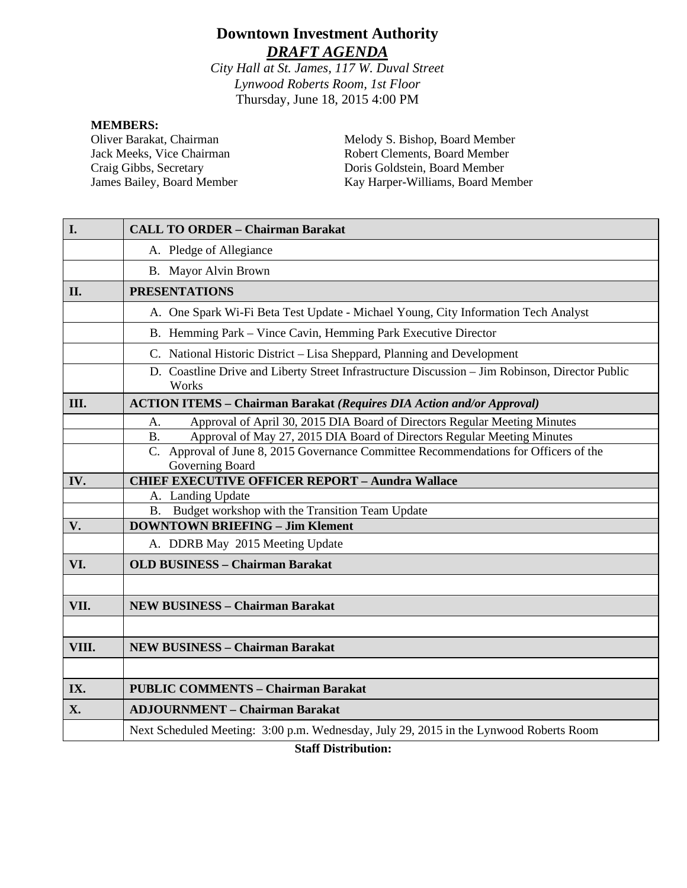# **Downtown Investment Authority** *DRAFT AGENDA*

*City Hall at St. James, 117 W. Duval Street Lynwood Roberts Room, 1st Floor* Thursday, June 18, 2015 4:00 PM

#### **MEMBERS:**

Oliver Barakat, Chairman Jack Meeks, Vice Chairman Craig Gibbs, Secretary James Bailey, Board Member Melody S. Bishop, Board Member Robert Clements, Board Member Doris Goldstein, Board Member Kay Harper-Williams, Board Member

| I.    | <b>CALL TO ORDER - Chairman Barakat</b>                                                                  |
|-------|----------------------------------------------------------------------------------------------------------|
|       | A. Pledge of Allegiance                                                                                  |
|       | B. Mayor Alvin Brown                                                                                     |
| II.   | <b>PRESENTATIONS</b>                                                                                     |
|       | A. One Spark Wi-Fi Beta Test Update - Michael Young, City Information Tech Analyst                       |
|       | B. Hemming Park – Vince Cavin, Hemming Park Executive Director                                           |
|       | C. National Historic District - Lisa Sheppard, Planning and Development                                  |
|       | D. Coastline Drive and Liberty Street Infrastructure Discussion - Jim Robinson, Director Public<br>Works |
| III.  | <b>ACTION ITEMS - Chairman Barakat (Requires DIA Action and/or Approval)</b>                             |
|       | Approval of April 30, 2015 DIA Board of Directors Regular Meeting Minutes<br>А.                          |
|       | Approval of May 27, 2015 DIA Board of Directors Regular Meeting Minutes<br><b>B.</b>                     |
|       | C. Approval of June 8, 2015 Governance Committee Recommendations for Officers of the<br>Governing Board  |
| IV.   | <b>CHIEF EXECUTIVE OFFICER REPORT - Aundra Wallace</b>                                                   |
|       | A. Landing Update                                                                                        |
|       | B. Budget workshop with the Transition Team Update                                                       |
| V.    | <b>DOWNTOWN BRIEFING - Jim Klement</b>                                                                   |
|       | A. DDRB May 2015 Meeting Update                                                                          |
| VI.   | <b>OLD BUSINESS - Chairman Barakat</b>                                                                   |
|       |                                                                                                          |
| VII.  | <b>NEW BUSINESS - Chairman Barakat</b>                                                                   |
|       |                                                                                                          |
| VIII. | <b>NEW BUSINESS - Chairman Barakat</b>                                                                   |
|       |                                                                                                          |
| IX.   | <b>PUBLIC COMMENTS - Chairman Barakat</b>                                                                |
| X.    | <b>ADJOURNMENT - Chairman Barakat</b>                                                                    |
|       | Next Scheduled Meeting: 3:00 p.m. Wednesday, July 29, 2015 in the Lynwood Roberts Room                   |

**Staff Distribution:**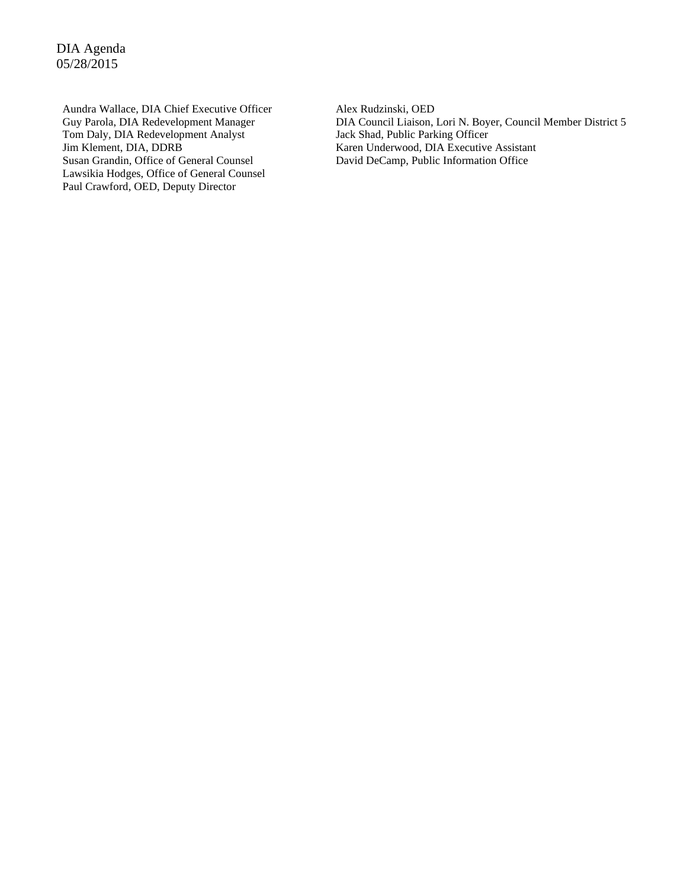DIA Agenda 05/28/2015

Aundra Wallace, DIA Chief Executive Officer Guy Parola, DIA Redevelopment Manager Tom Daly, DIA Redevelopment Analyst Jim Klement, DIA, DDRB Susan Grandin, Office of General Counsel Lawsikia Hodges, Office of General Counsel Paul Crawford, OED, Deputy Director

Alex Rudzinski, OED DIA Council Liaison, Lori N. Boyer, Council Member District 5 Jack Shad, Public Parking Officer Karen Underwood, DIA Executive Assistant David DeCamp, Public Information Office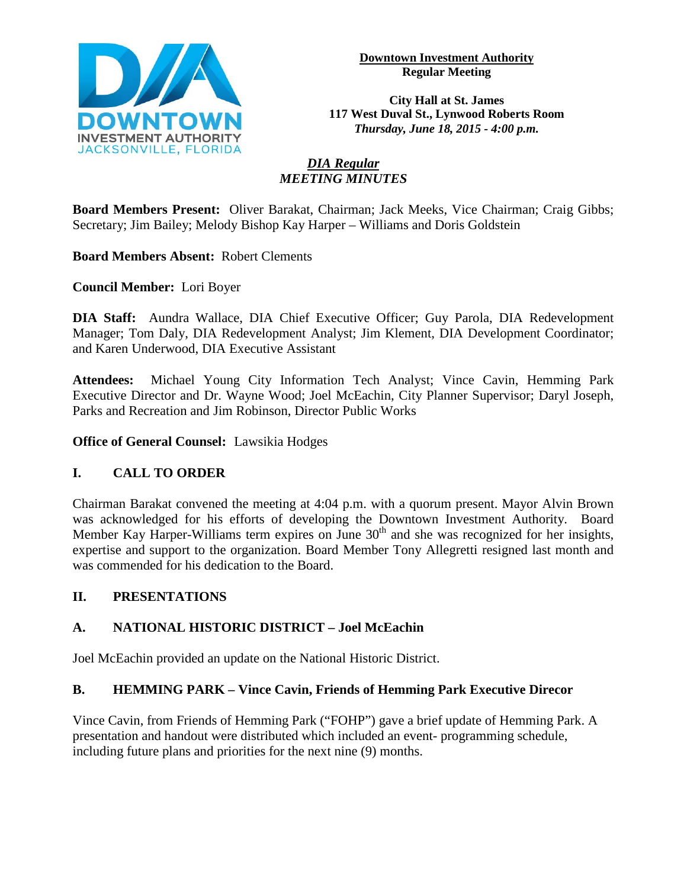

**Downtown Investment Authority Regular Meeting** 

**City Hall at St. James 117 West Duval St., Lynwood Roberts Room** *Thursday, June 18, 2015 - 4:00 p.m.*

# *DIA Regular MEETING MINUTES*

**Board Members Present:** Oliver Barakat, Chairman; Jack Meeks, Vice Chairman; Craig Gibbs; Secretary; Jim Bailey; Melody Bishop Kay Harper – Williams and Doris Goldstein

**Board Members Absent:** Robert Clements

**Council Member:** Lori Boyer

**DIA Staff:** Aundra Wallace, DIA Chief Executive Officer; Guy Parola, DIA Redevelopment Manager; Tom Daly, DIA Redevelopment Analyst; Jim Klement, DIA Development Coordinator; and Karen Underwood, DIA Executive Assistant

**Attendees:** Michael Young City Information Tech Analyst; Vince Cavin, Hemming Park Executive Director and Dr. Wayne Wood; Joel McEachin, City Planner Supervisor; Daryl Joseph, Parks and Recreation and Jim Robinson, Director Public Works

**Office of General Counsel:** Lawsikia Hodges

# **I. CALL TO ORDER**

Chairman Barakat convened the meeting at 4:04 p.m. with a quorum present. Mayor Alvin Brown was acknowledged for his efforts of developing the Downtown Investment Authority. Board Member Kay Harper-Williams term expires on June  $30<sup>th</sup>$  and she was recognized for her insights, expertise and support to the organization. Board Member Tony Allegretti resigned last month and was commended for his dedication to the Board.

# **II. PRESENTATIONS**

# **A. NATIONAL HISTORIC DISTRICT – Joel McEachin**

Joel McEachin provided an update on the National Historic District.

# **B. HEMMING PARK – Vince Cavin, Friends of Hemming Park Executive Direcor**

Vince Cavin, from Friends of Hemming Park ("FOHP") gave a brief update of Hemming Park. A presentation and handout were distributed which included an event- programming schedule, including future plans and priorities for the next nine (9) months.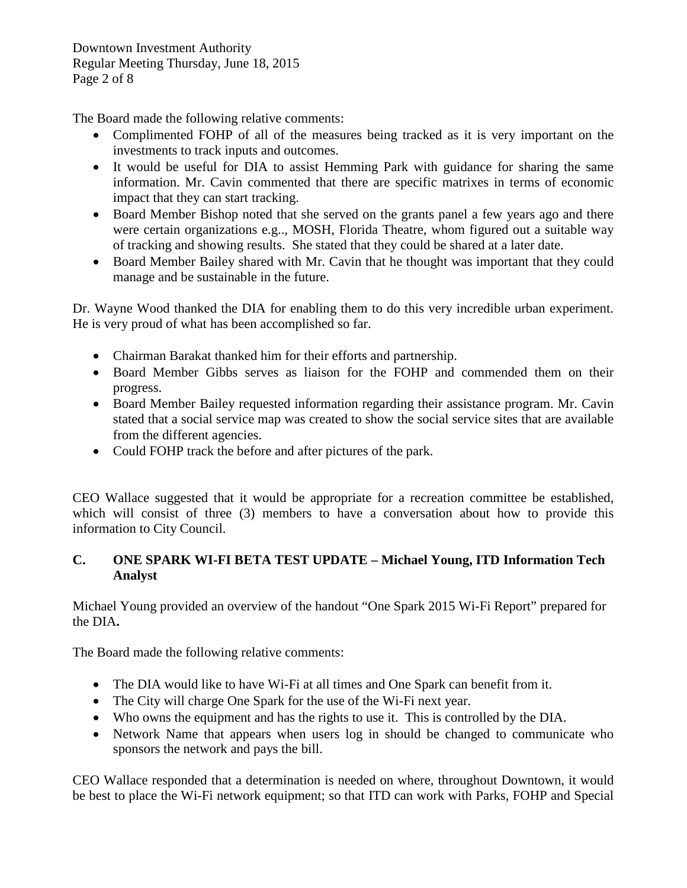Downtown Investment Authority Regular Meeting Thursday, June 18, 2015 Page 2 of 8

The Board made the following relative comments:

- Complimented FOHP of all of the measures being tracked as it is very important on the investments to track inputs and outcomes.
- It would be useful for DIA to assist Hemming Park with guidance for sharing the same information. Mr. Cavin commented that there are specific matrixes in terms of economic impact that they can start tracking.
- Board Member Bishop noted that she served on the grants panel a few years ago and there were certain organizations e.g.., MOSH, Florida Theatre, whom figured out a suitable way of tracking and showing results. She stated that they could be shared at a later date.
- Board Member Bailey shared with Mr. Cavin that he thought was important that they could manage and be sustainable in the future.

Dr. Wayne Wood thanked the DIA for enabling them to do this very incredible urban experiment. He is very proud of what has been accomplished so far.

- Chairman Barakat thanked him for their efforts and partnership.
- Board Member Gibbs serves as liaison for the FOHP and commended them on their progress.
- Board Member Bailey requested information regarding their assistance program. Mr. Cavin stated that a social service map was created to show the social service sites that are available from the different agencies.
- Could FOHP track the before and after pictures of the park.

CEO Wallace suggested that it would be appropriate for a recreation committee be established, which will consist of three (3) members to have a conversation about how to provide this information to City Council.

# **C. ONE SPARK WI-FI BETA TEST UPDATE – Michael Young, ITD Information Tech Analyst**

Michael Young provided an overview of the handout "One Spark 2015 Wi-Fi Report" prepared for the DIA**.** 

The Board made the following relative comments:

- The DIA would like to have Wi-Fi at all times and One Spark can benefit from it.
- The City will charge One Spark for the use of the Wi-Fi next year.
- Who owns the equipment and has the rights to use it. This is controlled by the DIA.
- Network Name that appears when users log in should be changed to communicate who sponsors the network and pays the bill.

CEO Wallace responded that a determination is needed on where, throughout Downtown, it would be best to place the Wi-Fi network equipment; so that ITD can work with Parks, FOHP and Special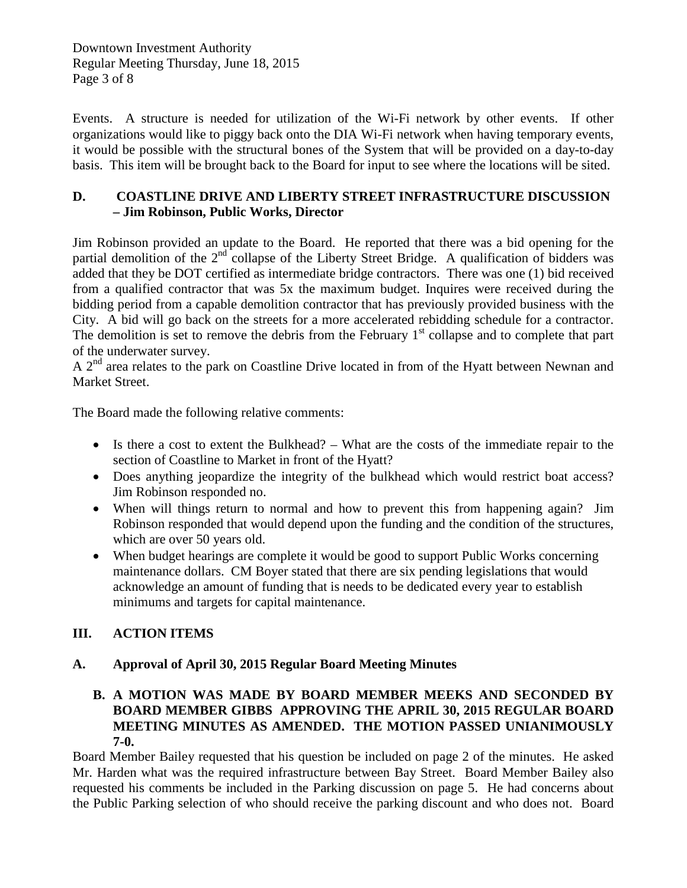Downtown Investment Authority Regular Meeting Thursday, June 18, 2015 Page 3 of 8

Events. A structure is needed for utilization of the Wi-Fi network by other events. If other organizations would like to piggy back onto the DIA Wi-Fi network when having temporary events, it would be possible with the structural bones of the System that will be provided on a day-to-day basis. This item will be brought back to the Board for input to see where the locations will be sited.

# **D. COASTLINE DRIVE AND LIBERTY STREET INFRASTRUCTURE DISCUSSION – Jim Robinson, Public Works, Director**

Jim Robinson provided an update to the Board. He reported that there was a bid opening for the partial demolition of the  $2<sup>nd</sup>$  collapse of the Liberty Street Bridge. A qualification of bidders was added that they be DOT certified as intermediate bridge contractors. There was one (1) bid received from a qualified contractor that was 5x the maximum budget. Inquires were received during the bidding period from a capable demolition contractor that has previously provided business with the City. A bid will go back on the streets for a more accelerated rebidding schedule for a contractor. The demolition is set to remove the debris from the February  $1<sup>st</sup>$  collapse and to complete that part of the underwater survey.

A 2<sup>nd</sup> area relates to the park on Coastline Drive located in from of the Hyatt between Newnan and Market Street.

The Board made the following relative comments:

- Is there a cost to extent the Bulkhead? What are the costs of the immediate repair to the section of Coastline to Market in front of the Hyatt?
- Does anything jeopardize the integrity of the bulkhead which would restrict boat access? Jim Robinson responded no.
- When will things return to normal and how to prevent this from happening again? Jim Robinson responded that would depend upon the funding and the condition of the structures, which are over 50 years old.
- When budget hearings are complete it would be good to support Public Works concerning maintenance dollars. CM Boyer stated that there are six pending legislations that would acknowledge an amount of funding that is needs to be dedicated every year to establish minimums and targets for capital maintenance.

# **III. ACTION ITEMS**

# **A. Approval of April 30, 2015 Regular Board Meeting Minutes**

# **B. A MOTION WAS MADE BY BOARD MEMBER MEEKS AND SECONDED BY BOARD MEMBER GIBBS APPROVING THE APRIL 30, 2015 REGULAR BOARD MEETING MINUTES AS AMENDED. THE MOTION PASSED UNIANIMOUSLY 7-0.**

Board Member Bailey requested that his question be included on page 2 of the minutes. He asked Mr. Harden what was the required infrastructure between Bay Street. Board Member Bailey also requested his comments be included in the Parking discussion on page 5. He had concerns about the Public Parking selection of who should receive the parking discount and who does not. Board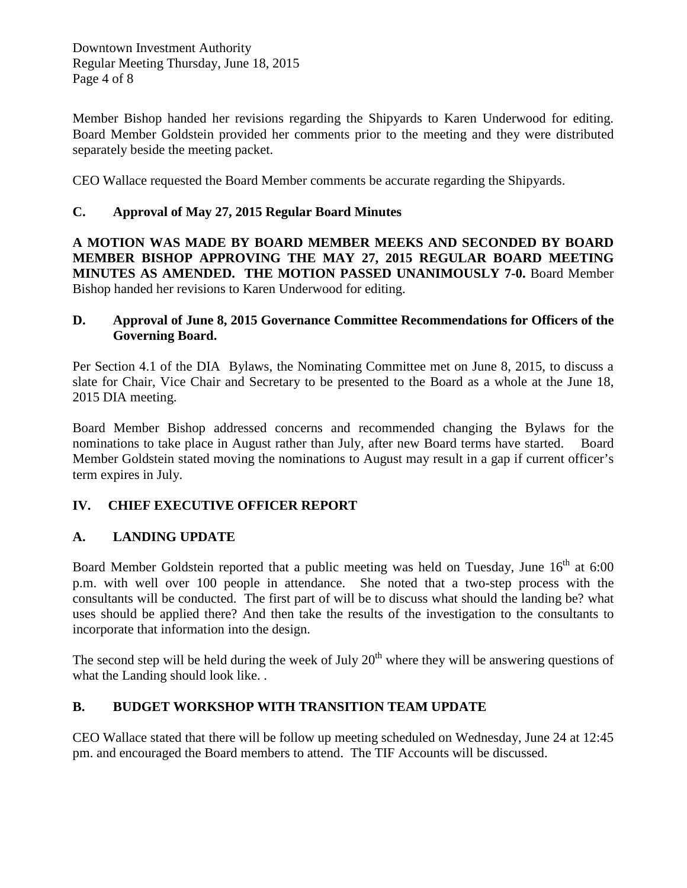Member Bishop handed her revisions regarding the Shipyards to Karen Underwood for editing. Board Member Goldstein provided her comments prior to the meeting and they were distributed separately beside the meeting packet.

CEO Wallace requested the Board Member comments be accurate regarding the Shipyards.

# **C. Approval of May 27, 2015 Regular Board Minutes**

**A MOTION WAS MADE BY BOARD MEMBER MEEKS AND SECONDED BY BOARD MEMBER BISHOP APPROVING THE MAY 27, 2015 REGULAR BOARD MEETING MINUTES AS AMENDED. THE MOTION PASSED UNANIMOUSLY 7-0.** Board Member Bishop handed her revisions to Karen Underwood for editing.

# **D. Approval of June 8, 2015 Governance Committee Recommendations for Officers of the Governing Board.**

Per Section 4.1 of the DIA Bylaws, the Nominating Committee met on June 8, 2015, to discuss a slate for Chair, Vice Chair and Secretary to be presented to the Board as a whole at the June 18, 2015 DIA meeting.

Board Member Bishop addressed concerns and recommended changing the Bylaws for the nominations to take place in August rather than July, after new Board terms have started. Board Member Goldstein stated moving the nominations to August may result in a gap if current officer's term expires in July.

# **IV. CHIEF EXECUTIVE OFFICER REPORT**

# **A. LANDING UPDATE**

Board Member Goldstein reported that a public meeting was held on Tuesday, June  $16<sup>th</sup>$  at 6:00 p.m. with well over 100 people in attendance. She noted that a two-step process with the consultants will be conducted. The first part of will be to discuss what should the landing be? what uses should be applied there? And then take the results of the investigation to the consultants to incorporate that information into the design.

The second step will be held during the week of July  $20<sup>th</sup>$  where they will be answering questions of what the Landing should look like. .

# **B. BUDGET WORKSHOP WITH TRANSITION TEAM UPDATE**

CEO Wallace stated that there will be follow up meeting scheduled on Wednesday, June 24 at 12:45 pm. and encouraged the Board members to attend. The TIF Accounts will be discussed.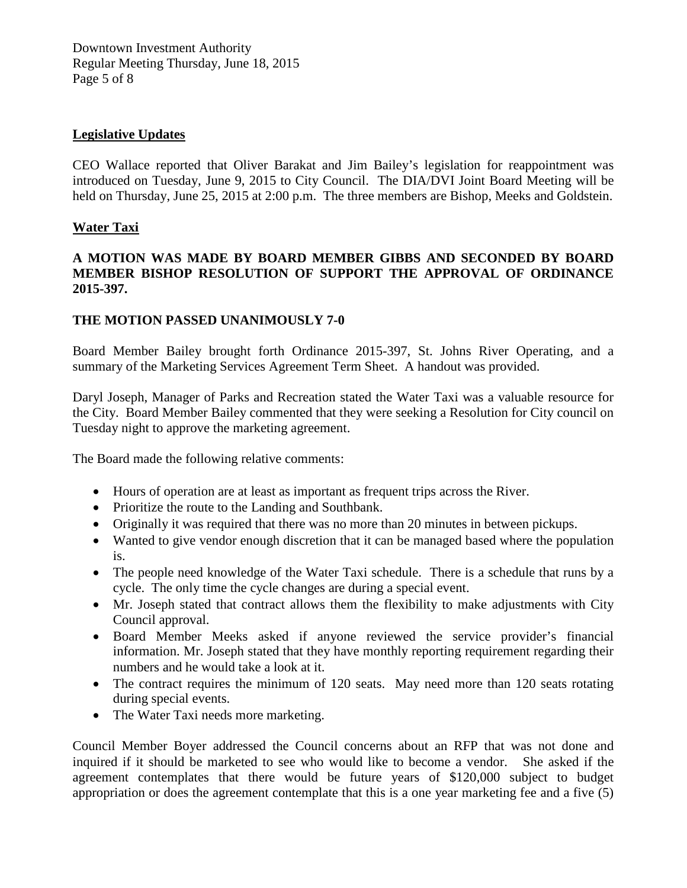### **Legislative Updates**

CEO Wallace reported that Oliver Barakat and Jim Bailey's legislation for reappointment was introduced on Tuesday, June 9, 2015 to City Council. The DIA/DVI Joint Board Meeting will be held on Thursday, June 25, 2015 at 2:00 p.m. The three members are Bishop, Meeks and Goldstein.

### **Water Taxi**

# **A MOTION WAS MADE BY BOARD MEMBER GIBBS AND SECONDED BY BOARD MEMBER BISHOP RESOLUTION OF SUPPORT THE APPROVAL OF ORDINANCE 2015-397.**

### **THE MOTION PASSED UNANIMOUSLY 7-0**

Board Member Bailey brought forth Ordinance 2015-397, St. Johns River Operating, and a summary of the Marketing Services Agreement Term Sheet. A handout was provided.

Daryl Joseph, Manager of Parks and Recreation stated the Water Taxi was a valuable resource for the City. Board Member Bailey commented that they were seeking a Resolution for City council on Tuesday night to approve the marketing agreement.

The Board made the following relative comments:

- Hours of operation are at least as important as frequent trips across the River.
- Prioritize the route to the Landing and Southbank.
- Originally it was required that there was no more than 20 minutes in between pickups.
- Wanted to give vendor enough discretion that it can be managed based where the population is.
- The people need knowledge of the Water Taxi schedule. There is a schedule that runs by a cycle. The only time the cycle changes are during a special event.
- Mr. Joseph stated that contract allows them the flexibility to make adjustments with City Council approval.
- Board Member Meeks asked if anyone reviewed the service provider's financial information. Mr. Joseph stated that they have monthly reporting requirement regarding their numbers and he would take a look at it.
- The contract requires the minimum of 120 seats. May need more than 120 seats rotating during special events.
- The Water Taxi needs more marketing.

Council Member Boyer addressed the Council concerns about an RFP that was not done and inquired if it should be marketed to see who would like to become a vendor. She asked if the agreement contemplates that there would be future years of \$120,000 subject to budget appropriation or does the agreement contemplate that this is a one year marketing fee and a five (5)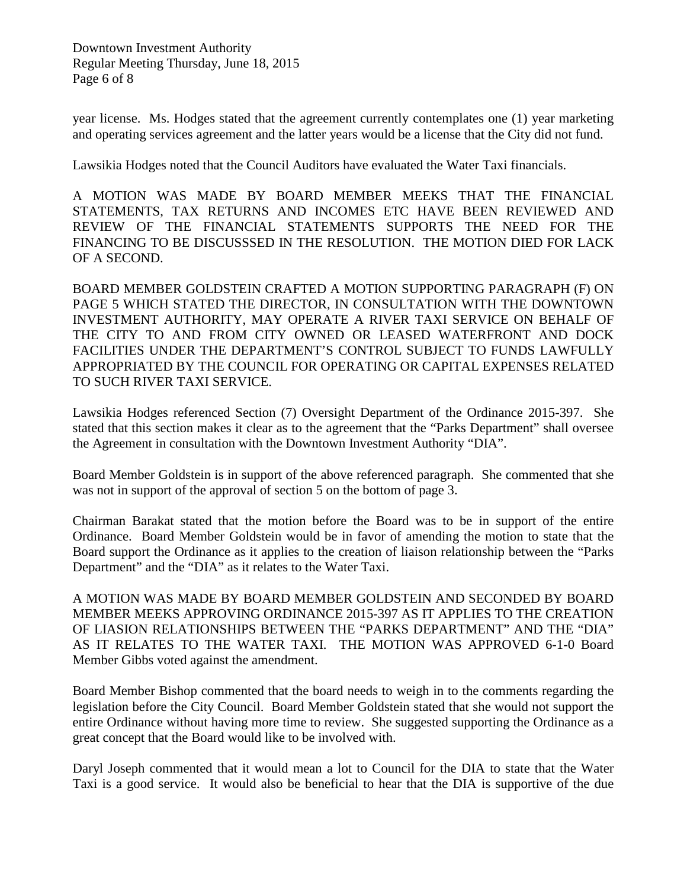Downtown Investment Authority Regular Meeting Thursday, June 18, 2015 Page 6 of 8

year license. Ms. Hodges stated that the agreement currently contemplates one (1) year marketing and operating services agreement and the latter years would be a license that the City did not fund.

Lawsikia Hodges noted that the Council Auditors have evaluated the Water Taxi financials.

A MOTION WAS MADE BY BOARD MEMBER MEEKS THAT THE FINANCIAL STATEMENTS, TAX RETURNS AND INCOMES ETC HAVE BEEN REVIEWED AND REVIEW OF THE FINANCIAL STATEMENTS SUPPORTS THE NEED FOR THE FINANCING TO BE DISCUSSSED IN THE RESOLUTION. THE MOTION DIED FOR LACK OF A SECOND.

BOARD MEMBER GOLDSTEIN CRAFTED A MOTION SUPPORTING PARAGRAPH (F) ON PAGE 5 WHICH STATED THE DIRECTOR, IN CONSULTATION WITH THE DOWNTOWN INVESTMENT AUTHORITY, MAY OPERATE A RIVER TAXI SERVICE ON BEHALF OF THE CITY TO AND FROM CITY OWNED OR LEASED WATERFRONT AND DOCK FACILITIES UNDER THE DEPARTMENT'S CONTROL SUBJECT TO FUNDS LAWFULLY APPROPRIATED BY THE COUNCIL FOR OPERATING OR CAPITAL EXPENSES RELATED TO SUCH RIVER TAXI SERVICE.

Lawsikia Hodges referenced Section (7) Oversight Department of the Ordinance 2015-397. She stated that this section makes it clear as to the agreement that the "Parks Department" shall oversee the Agreement in consultation with the Downtown Investment Authority "DIA".

Board Member Goldstein is in support of the above referenced paragraph. She commented that she was not in support of the approval of section 5 on the bottom of page 3.

Chairman Barakat stated that the motion before the Board was to be in support of the entire Ordinance. Board Member Goldstein would be in favor of amending the motion to state that the Board support the Ordinance as it applies to the creation of liaison relationship between the "Parks Department" and the "DIA" as it relates to the Water Taxi.

A MOTION WAS MADE BY BOARD MEMBER GOLDSTEIN AND SECONDED BY BOARD MEMBER MEEKS APPROVING ORDINANCE 2015-397 AS IT APPLIES TO THE CREATION OF LIASION RELATIONSHIPS BETWEEN THE "PARKS DEPARTMENT" AND THE "DIA" AS IT RELATES TO THE WATER TAXI. THE MOTION WAS APPROVED 6-1-0 Board Member Gibbs voted against the amendment.

Board Member Bishop commented that the board needs to weigh in to the comments regarding the legislation before the City Council. Board Member Goldstein stated that she would not support the entire Ordinance without having more time to review. She suggested supporting the Ordinance as a great concept that the Board would like to be involved with.

Daryl Joseph commented that it would mean a lot to Council for the DIA to state that the Water Taxi is a good service. It would also be beneficial to hear that the DIA is supportive of the due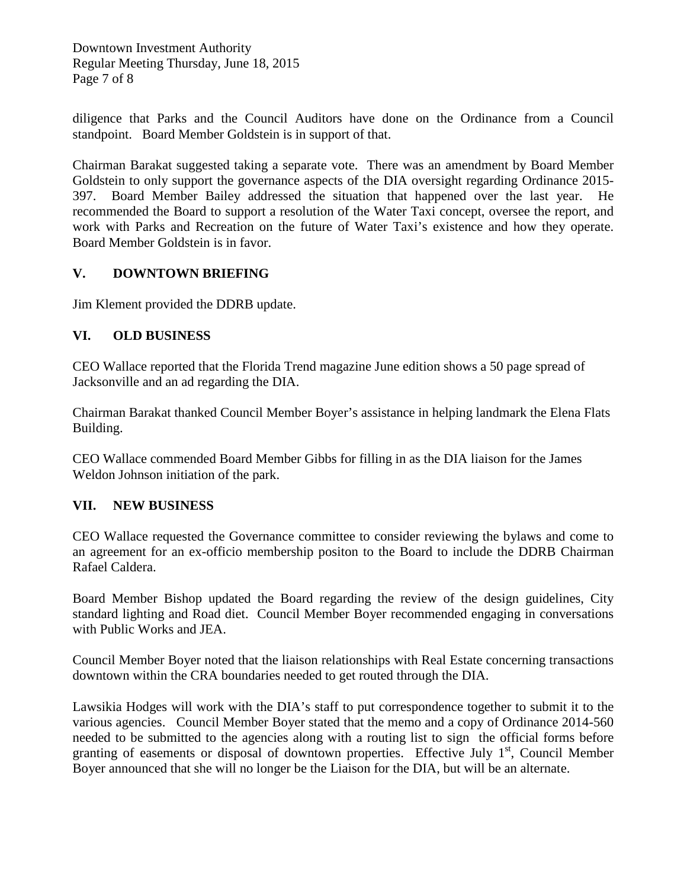Downtown Investment Authority Regular Meeting Thursday, June 18, 2015 Page 7 of 8

diligence that Parks and the Council Auditors have done on the Ordinance from a Council standpoint. Board Member Goldstein is in support of that.

Chairman Barakat suggested taking a separate vote. There was an amendment by Board Member Goldstein to only support the governance aspects of the DIA oversight regarding Ordinance 2015- 397. Board Member Bailey addressed the situation that happened over the last year. He recommended the Board to support a resolution of the Water Taxi concept, oversee the report, and work with Parks and Recreation on the future of Water Taxi's existence and how they operate. Board Member Goldstein is in favor.

# **V. DOWNTOWN BRIEFING**

Jim Klement provided the DDRB update.

### **VI. OLD BUSINESS**

CEO Wallace reported that the Florida Trend magazine June edition shows a 50 page spread of Jacksonville and an ad regarding the DIA.

Chairman Barakat thanked Council Member Boyer's assistance in helping landmark the Elena Flats Building.

CEO Wallace commended Board Member Gibbs for filling in as the DIA liaison for the James Weldon Johnson initiation of the park.

#### **VII. NEW BUSINESS**

CEO Wallace requested the Governance committee to consider reviewing the bylaws and come to an agreement for an ex-officio membership positon to the Board to include the DDRB Chairman Rafael Caldera.

Board Member Bishop updated the Board regarding the review of the design guidelines, City standard lighting and Road diet. Council Member Boyer recommended engaging in conversations with Public Works and JEA.

Council Member Boyer noted that the liaison relationships with Real Estate concerning transactions downtown within the CRA boundaries needed to get routed through the DIA.

Lawsikia Hodges will work with the DIA's staff to put correspondence together to submit it to the various agencies. Council Member Boyer stated that the memo and a copy of Ordinance 2014-560 needed to be submitted to the agencies along with a routing list to sign the official forms before granting of easements or disposal of downtown properties. Effective July  $1<sup>st</sup>$ , Council Member Boyer announced that she will no longer be the Liaison for the DIA, but will be an alternate.